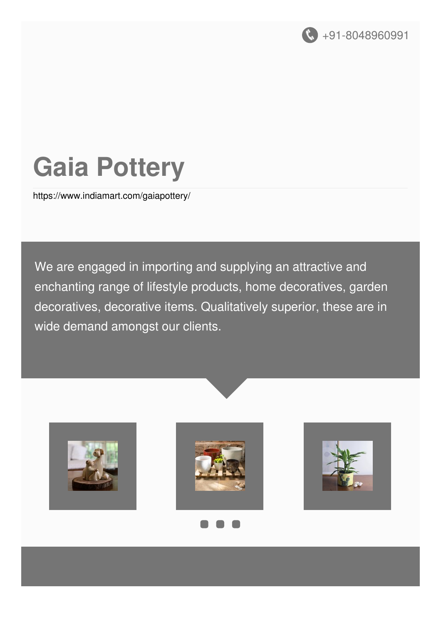

# **Gaia Pottery**

<https://www.indiamart.com/gaiapottery/>

We are engaged in importing and supplying an attractive and enchanting range of lifestyle products, home decoratives, garden decoratives, decorative items. Qualitatively superior, these are in wide demand amongst our clients.









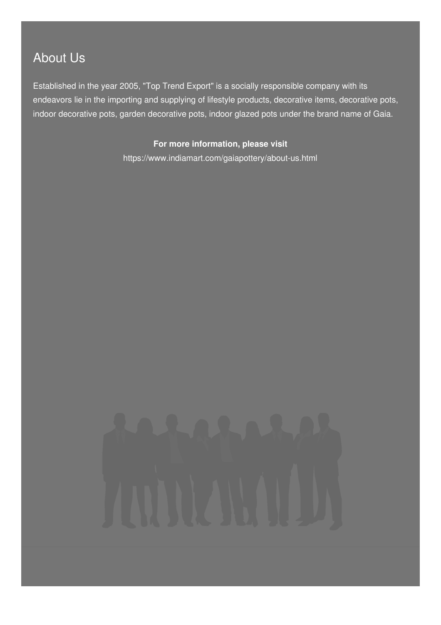## About Us

Established in the year 2005, "Top Trend Export" is a socially responsible company with its endeavors lie in the importing and supplying of lifestyle products, decorative items, decorative pots, indoor decorative pots, garden decorative pots, indoor glazed pots under the brand name of Gaia.

> **For more information, please visit** <https://www.indiamart.com/gaiapottery/about-us.html>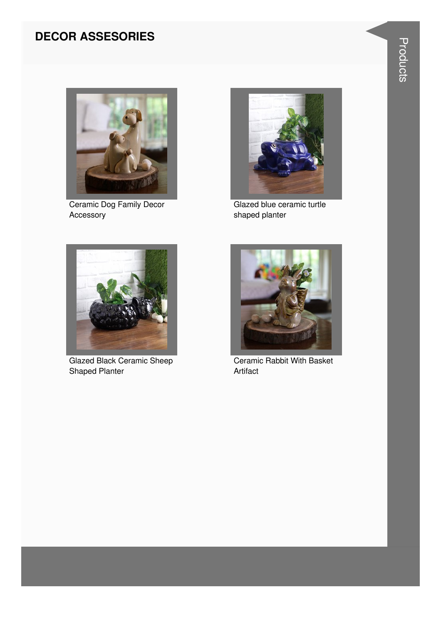#### **DECOR ASSESORIES**



Ceramic Dog Family Decor Accessory



Glazed blue ceramic turtle shaped planter



Glazed Black Ceramic Sheep Shaped Planter



Ceramic Rabbit With Basket Artifact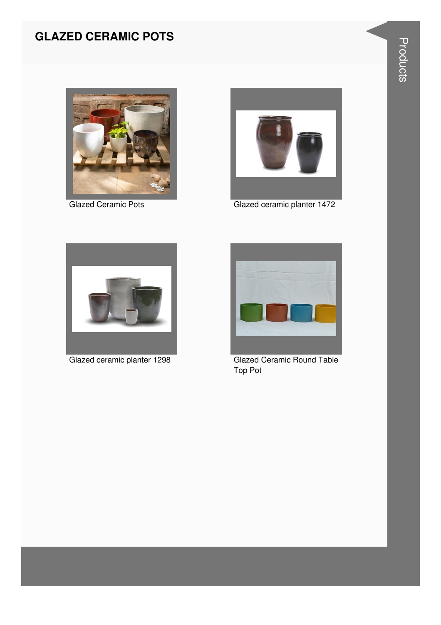#### **GLAZED CERAMIC POTS**





Glazed Ceramic Pots Glazed ceramic planter 1472





Glazed ceramic planter 1298 Glazed Ceramic Round Table Top Pot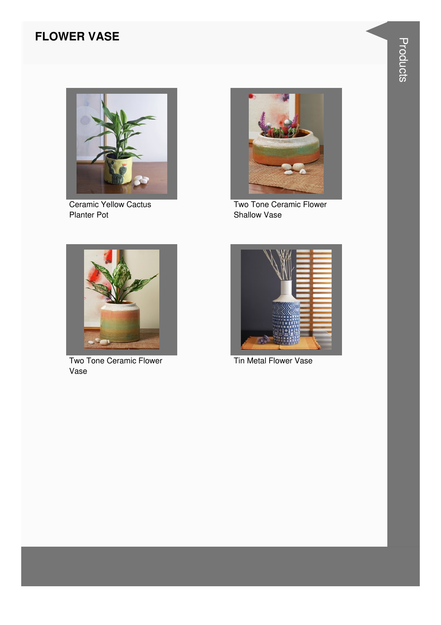#### **FLOWER VASE**



Ceramic Yellow Cactus Planter Pot



Two Tone Ceramic Flower Shallow Vase



Two Tone Ceramic Flower Vase



Tin Metal Flower Vase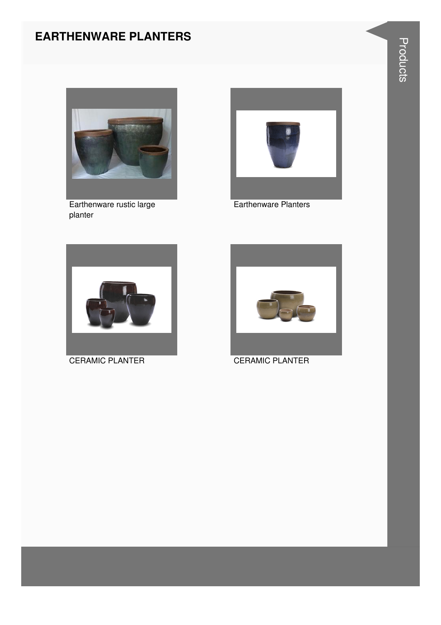#### **EARTHENWARE PLANTERS**



Earthenware rustic large planter



Earthenware Planters





CERAMIC PLANTER CERAMIC PLANTER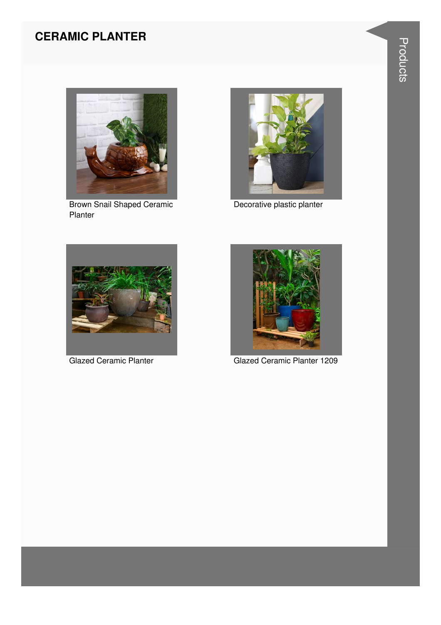#### **CERAMIC PLANTER**



Brown Snail Shaped Ceramic Planter



Decorative plastic planter





Glazed Ceramic Planter Glazed Ceramic Planter 1209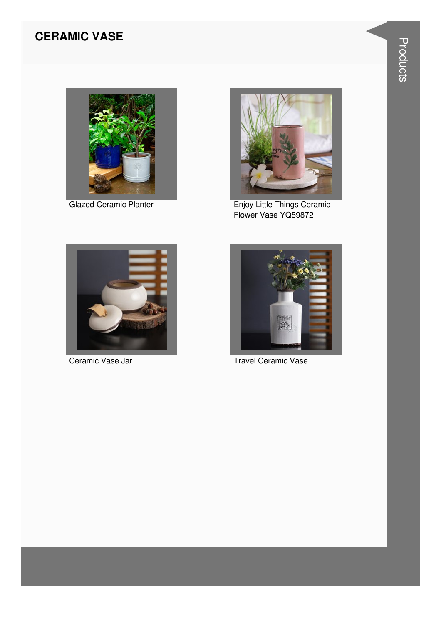#### **CERAMIC VASE**



**Glazed Ceramic Planter** 



Enjoy Little Things Ceramic<br>Flower Vase YQ59872



Ceramic Vase Jar



**Travel Ceramic Vase**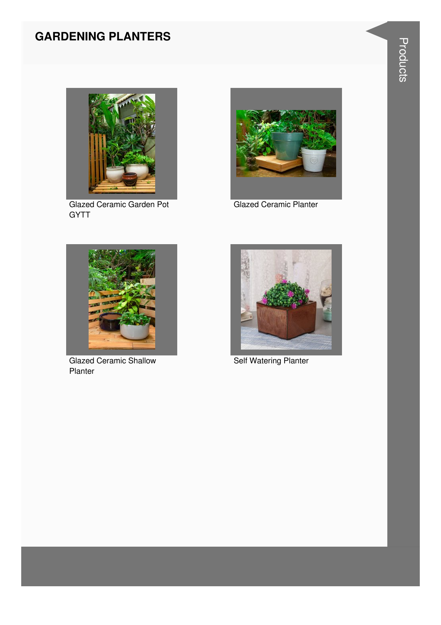#### **GARDENING PLANTERS**



Glazed Ceramic Garden Pot **GYTT** 



Glazed Ceramic Planter



Glazed Ceramic Shallow Planter



**Self Watering Planter**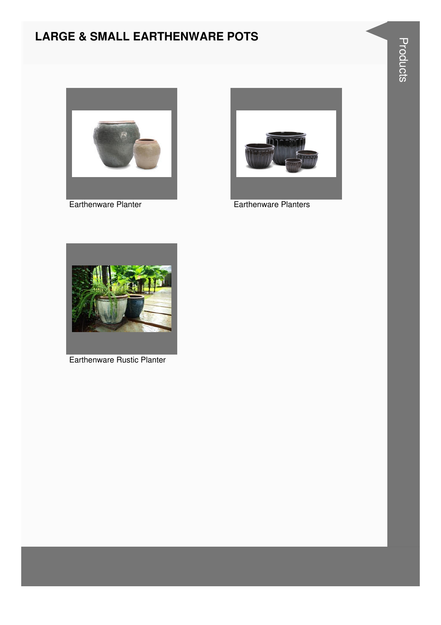#### **LARGE & SMALL EARTHENWARE POTS**



Earthenware Planter



Earthenware Planters



Earthenware Rustic Planter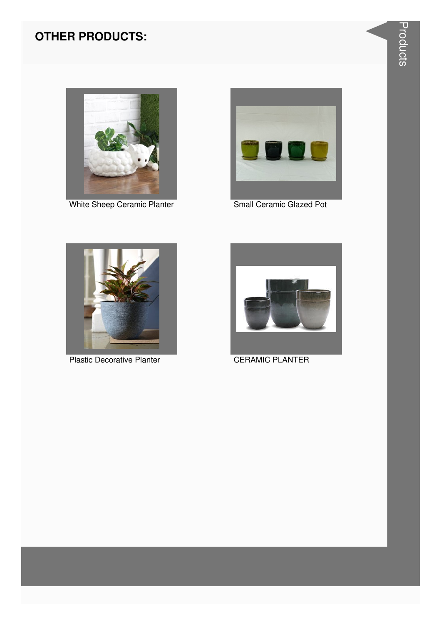### **OTHER PRODUCTS:**



White Sheep Ceramic Planter Small Ceramic Glazed Pot





Plastic Decorative Planter CERAMIC PLANTER

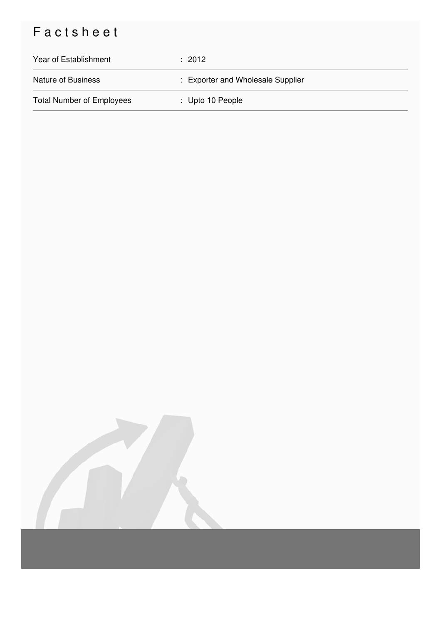# Factsheet

| Year of Establishment            | $\div$ 2012                       |
|----------------------------------|-----------------------------------|
| <b>Nature of Business</b>        | : Exporter and Wholesale Supplier |
| <b>Total Number of Employees</b> | $\therefore$ Upto 10 People       |